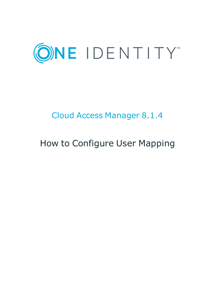

# Cloud Access Manager 8.1.4

# How to Configure User Mapping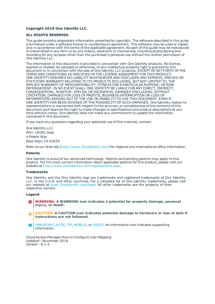### **Copyright 2018 One Identity LLC.**

### **ALL RIGHTS RESERVED.**

This guide contains proprietary information protected by copyright. The software described in this guide is furnished under a software license or nondisclosure agreement. This software may be used or copied only in accordance with the terms of the applicable agreement. No part of this guide may be reproduced or transmitted in any form or by any means, electronic or mechanical, including photocopying and recording for any purpose other than the purchaser's personal use without the written permission of One Identity LLC .

The information in this document is provided in connection with One Identity products. No license, express or implied, by estoppel or otherwise, to any intellectual property right is granted by this document or in connection with the sale of One Identity LLC products. EXCEPT AS SET FORTH IN THE TERMS AND CONDITIONS AS SPECIFIED IN THE LICENSE AGREEMENT FOR THIS PRODUCT, ONE IDENTITY ASSUMES NO LIABILITY WHATSOEVER AND DISCLAIMS ANY EXPRESS, IMPLIED OR STATUTORY WARRANTY RELATING TO ITS PRODUCTS INCLUDING, BUT NOT LIMITED TO, THE IMPLIED WARRANTY OF MERCHANTABILITY, FITNESS FOR A PARTICULAR PURPOSE, OR NON-INFRINGEMENT. IN NO EVENT SHALL ONE IDENTITY BE LIABLE FOR ANY DIRECT, INDIRECT, CONSEQUENTIAL, PUNITIVE, SPECIAL OR INCIDENTAL DAMAGES (INCLUDING, WITHOUT LIMITATION, DAMAGES FOR LOSS OF PROFITS, BUSINESS INTERRUPTION OR LOSS OF INFORMATION) ARISING OUT OF THE USE OR INABILITY TO USE THIS DOCUMENT, EVEN IF ONE IDENTITY HAS BEEN ADVISED OF THE POSSIBILITY OF SUCH DAMAGES. One Identity makes no representations or warranties with respect to the accuracy or completeness of the contents of this document and reserves the right to make changes to specifications and product descriptions at any time without notice. One Identity does not make any commitment to update the information contained in this document.

If you have any questions regarding your potential use of this material, contact:

One Identity LLC. Attn: LEGAL Dept 4 Polaris Way Aliso Viejo, CA 92656

Refer to our Web site ([http://www.OneIdentity.com](http://www.oneidentity.com/)) for regional and international office information.

### **Patents**

One Identity is proud of our advanced technology. Patents and pending patents may apply to this product. For the most current information about applicable patents for this product, please visit our website at [http://www.OneIdentity.com/legal/patents.aspx](http://www.oneidentity.com/legal/patents.aspx).

#### **Trademarks**

One Identity and the One Identity logo are trademarks and registered trademarks of One Identity LLC. in the U.S.A. and other countries. For a complete list of One Identity trademarks, please visit our website at [www.OneIdentity.com/legal](http://www.oneidentity.com/legal). All other trademarks are the property of their respective owners.

#### **Legend**

- **WARNING: A WARNING icon indicates a potential for property damage, personal injury, or death.**
- **CAUTION: A CAUTION icon indicates potential damage to hardware or loss of data if instructions are not followed.**
- IMPORTANT, NOTE, TIP, MOBILE, or VIDEO: An information icon indicates supporting Œ information.

Cloud Access Manager How to Configure User Mapping Updated - November 2018 Version - 8.1.4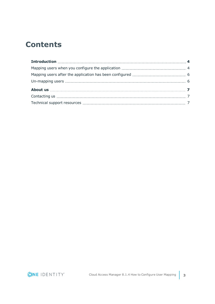## **Contents**

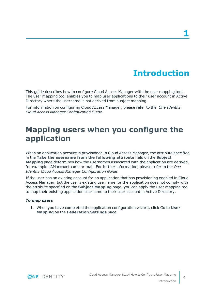# **Introduction**

<span id="page-3-0"></span>This guide describes how to configure Cloud Access Manager with the user mapping tool. The user mapping tool enables you to map user applications to their user account in Active Directory where the username is not derived from subject mapping.

For information on configuring Cloud Access Manager, please refer to the *One Identity Cloud Access Manager Configuration Guide*.

### <span id="page-3-1"></span>**Mapping users when you configure the application**

When an application account is provisioned in Cloud Access Manager, the attribute specified in the **Take the username from the following attribute** field on the **Subject Mapping** page determines how the usernames associated with the application are derived, for example sAMaccountname or mail. For further information, please refer to the *One Identity Cloud Access Manager Configuration Guide*.

If the user has an existing account for an application that has provisioning enabled in Cloud Access Manager, but the user's existing username for the application does not comply with the attribute specified on the **Subject Mapping** page, you can apply the user mapping tool to map their existing application username to their user account in Active Directory.

### *To map users*

1. When you have completed the application configuration wizard, click Go to **User Mapping** on the **Federation Settings** page.

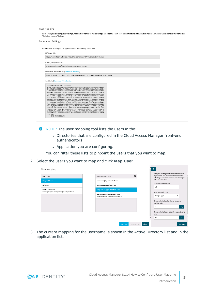#### User Mapping

If you already have existing users within your application then Cloud Access Manager can map these users to your local front-end authentication method users. If you would like to do this then click the "Go to User Mapping" buttor

Federation Settings

You may need to configure the application with the following information.

| https://camod.dom1.def.local/CloudAccessManager/RPSTS/Saml2/Default.aspx                                                                                                                                                                                                                                                                                                                                                                                                                                                                                                                                                                                                                                                                                                                                                                                                                                                                                                                                                                                                                                                 |  |
|--------------------------------------------------------------------------------------------------------------------------------------------------------------------------------------------------------------------------------------------------------------------------------------------------------------------------------------------------------------------------------------------------------------------------------------------------------------------------------------------------------------------------------------------------------------------------------------------------------------------------------------------------------------------------------------------------------------------------------------------------------------------------------------------------------------------------------------------------------------------------------------------------------------------------------------------------------------------------------------------------------------------------------------------------------------------------------------------------------------------------|--|
| Issuer (Entity ID for IDP)                                                                                                                                                                                                                                                                                                                                                                                                                                                                                                                                                                                                                                                                                                                                                                                                                                                                                                                                                                                                                                                                                               |  |
| urn:camod.dom1.def.local/CloudAccessManager/RPSTS                                                                                                                                                                                                                                                                                                                                                                                                                                                                                                                                                                                                                                                                                                                                                                                                                                                                                                                                                                                                                                                                        |  |
| Federation metadata URL (Download Metadata)                                                                                                                                                                                                                                                                                                                                                                                                                                                                                                                                                                                                                                                                                                                                                                                                                                                                                                                                                                                                                                                                              |  |
| https://camod.dom1.def.local/CloudAccessManager/RPSTS/Saml2/Metadata.ashx?AppId=11                                                                                                                                                                                                                                                                                                                                                                                                                                                                                                                                                                                                                                                                                                                                                                                                                                                                                                                                                                                                                                       |  |
| MIIDAjCCAeqqAwIBAqIQAJz0vDlaLvA5UebPcZBj4TANBqkqhkiG9w0BAQsFADA8<br>MTowOAYDVQQDDDFPbmUgSWRlbnRpdHkgQ2xvdWQgQWNjZXNzIE1hbmFnZXIgQXBw<br>IEdvb2dsZSBBcHBzMCAXDTE3MTAxMTAwMDAwMFoYDzIwNTcxMDEvMDAwMJA8<br>MTowOAYDVQQDDDFPbmUqSWRlbnRpdHkqQ2xvdWQqQWNjZXNzIE1hbmFnZXIqQXBw<br>IEdvb2dsZSBBcHBzMIIBIjANBqkqhkiG9w0BAQEFAAOCAQ8AMIIBCqKCAQEAtM5b<br>PWoJ2J9nmja4ipppv1f01GG1UoGq+iZZEuU4B3Lc0IhzBBN+yY1YTTvTrFSJXcBU<br>LOizTNq+wDtt5k/Sr8B3IINFVT/o2Ds3VVHJk7qC/EtEirDS64y7q5NVzE7PXP/a<br>XPMCLsM/6k3dR9ZFTpHdUdTjpPL7WnquF9X+9OdCMegngRT+vk73qs12a75NTzGH<br>T7RS7PH/2r2jHY3p3yxnZWoynswsFMLygCnOvd+GEJazRDhqcEoysUMI5xcw/LCZ<br>Li2ikR4+HpxXwNqnrNuJIX5IMZjCEONrrsDpVr4jNLVISM/Swb51EGMOSMBsF4BT<br>WEmOvdD9BwTOlgflVwIDAQABMA0GCSqGSIb3DQEBCwUAA4IBAQCpaBJ8ZQh5GZQA<br>HyHrdGq9jVGF6AF665zXn8bfcqntzFZuKONItPXNxwzCJ0SesevfL9XL1QeFxq1P<br>o3qH33MQwuGKFSwL1TQAM+q+7jFw+xxaf0naXyxIN9pM6qDEjVQbaOGvYW5zJTu7<br>HgOOrvoLR5U17zszbxX1CHGveDscWZ44+oh2acMK2mJHND5XB2fg0/ioX7br2Fb+<br>dI1NbZAtNgn8FZSVVJoT2dJS4rEv1WcEJvtmIn3ULEZr3IuFmRPwi6DDLZJ8OazW<br>WDNsQKewV6RzTDLg5rDOsMOoDTLeoKRW+SpppUS1t0CqA10XvZBw63NO8qa/5KZs |  |

 $\bigcirc$  NOTE: The user mapping tool lists the users in the:

- Directories that are configured in the Cloud Access Manager front-end authenticators
- Application you are configuring.

You can filter these lists to pinpoint the users that you want to map.

2. Select the users you want to map and click **Map User**.

| User Mapping                                     |                                            |             |       |               |                                                                                                                                                |                  |  |
|--------------------------------------------------|--------------------------------------------|-------------|-------|---------------|------------------------------------------------------------------------------------------------------------------------------------------------|------------------|--|
| Users in AD                                      | Users in Google Apps                       | c           |       |               | Map your existing application users to users<br>in your front-end authentication method by<br>selecting a user from each list and clicking the |                  |  |
| <b>Brigitte Weber</b>                            | testadmin@questapitest.com                 |             |       |               | "Map User" button.                                                                                                                             |                  |  |
| rwiggum                                          | testets@questapitest.com                   |             |       |               | Select an authenticator                                                                                                                        |                  |  |
| <b>Waller Blackwell</b>                          | testperson1@questapitest.com               |             |       | AD            |                                                                                                                                                | ۰                |  |
| Currently mapped to testperson2@questapitest.com | testperson2@questapitest.com               |             |       |               | Select an application                                                                                                                          |                  |  |
|                                                  | Currently mapped to Waller Blackwell in AD |             |       |               | Google Apps                                                                                                                                    | ۰                |  |
|                                                  |                                            |             |       | starting with | Search selected authenticator for users                                                                                                        |                  |  |
|                                                  |                                            |             |       | W             |                                                                                                                                                | $\alpha$         |  |
|                                                  |                                            |             |       | with          | Search selected application for users starting                                                                                                 |                  |  |
|                                                  |                                            |             |       | tes           |                                                                                                                                                | $\alpha$         |  |
|                                                  | <b>Map User</b>                            | Un-Map User | Close |               |                                                                                                                                                | <b>Get Users</b> |  |

3. The current mapping for the username is shown in the Active Directory list and in the application list.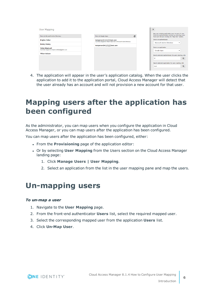| User Mapping                                                        |                                                                                               | ⋗<br>Map your existing application users to users in your                                                 |
|---------------------------------------------------------------------|-----------------------------------------------------------------------------------------------|-----------------------------------------------------------------------------------------------------------|
| Users in Microsoft Active Directory                                 | ø<br>Users in Google Apps                                                                     | front-end authentication method by selecting a user<br>from each list and clicking the "Map User" button. |
| <b>Brigitte Weber</b>                                               | testperson@<br>test.com<br>Currently mapped to Waller Blackwell in Microsoft Active Directory | Select an authenticator                                                                                   |
| <b>Dmitry Wolsky</b>                                                | testperson2@<br>itest.com                                                                     | <b>Microsoft Active Directory</b><br>$\mathbf{v}$                                                         |
| <b>Waller Blackwell</b><br>Currently mapped to testperson® test.com |                                                                                               | Select an application<br><b>Google Apps</b><br>$\overline{\phantom{a}}$                                   |
| <b>Wilson Malcom</b>                                                |                                                                                               | Search selected authenticator for users starting with                                                     |
|                                                                     |                                                                                               | W<br>$\alpha$                                                                                             |
|                                                                     |                                                                                               | Search selected application for users starting with                                                       |
|                                                                     |                                                                                               | $\alpha$<br>test                                                                                          |
|                                                                     |                                                                                               |                                                                                                           |

4. The application will appear in the user's application catalog. When the user clicks the application to add it to the application portal, Cloud Access Manager will detect that the user already has an account and will not provision a new account for that user.

## <span id="page-5-0"></span>**Mapping users after the application has been configured**

As the administrator, you can map users when you configure the application in Cloud Access Manager, or you can map users after the application has been configured.

You can map users after the application has been configured, either:

- **.** From the **Provisioning** page of the application editor:
- <sup>l</sup> Or by selecting **User Mapping** from the Users section on the Cloud Access Manager landing page:
	- 1. Click **Manage Users | User Mapping**.
	- 2. Select an application from the list in the user mapping pane and map the users.

### <span id="page-5-1"></span>**Un-mapping users**

### *To un-map a user*

- 1. Navigate to the **User Mapping** page.
- 2. From the front-end authenticator **Users** list, select the required mapped user.
- 3. Select the corresponding mapped user from the application **Users** list.
- 4. Click **Un-Map User**.